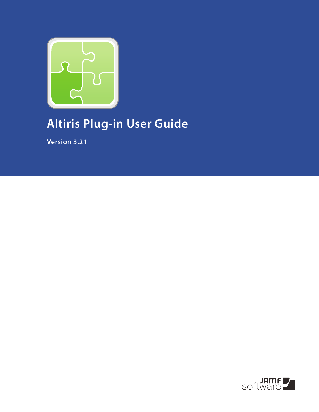

# **Altiris Plug-in User Guide**

**Version 3.21**

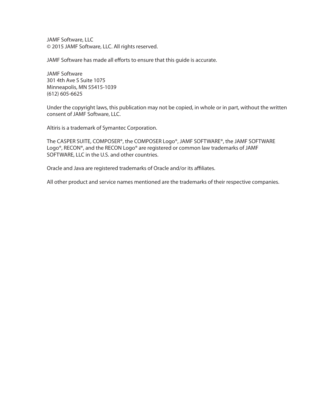JAMF Software, LLC © 2015 JAMF Software, LLC. All rights reserved.

JAMF Software has made all efforts to ensure that this guide is accurate.

JAMF Software 301 4th Ave S Suite 1075 Minneapolis, MN 55415-1039 (612) 605-6625

Under the copyright laws, this publication may not be copied, in whole or in part, without the written consent of JAMF Software, LLC.

Altiris is a trademark of Symantec Corporation.

The CASPER SUITE, COMPOSER®, the COMPOSER Logo®, JAMF SOFTWARE®, the JAMF SOFTWARE Logo®, RECON®, and the RECON Logo® are registered or common law trademarks of JAMF SOFTWARE, LLC in the U.S. and other countries.

Oracle and Java are registered trademarks of Oracle and/or its affiliates.

All other product and service names mentioned are the trademarks of their respective companies.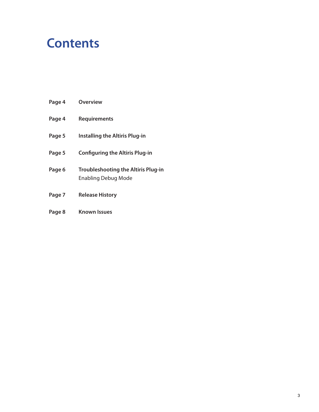#### **Contents**

- **Page 4 Overview**
- **Page 4 Requirements**
- **Page 5 Installing the Altiris Plug-in**
- **Page 5 Configuring the Altiris Plug-in**
- **Page 6 Troubleshooting the Altiris Plug-in** Enabling Debug Mode
- **Page 7 Release History**
- **Page 8 Known Issues**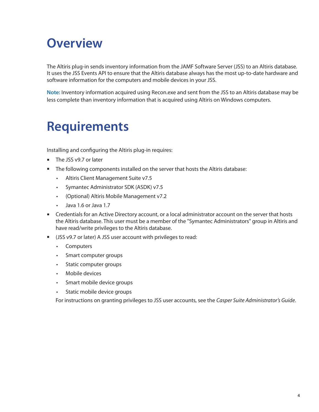#### **Overview**

The Altiris plug-in sends inventory information from the JAMF Software Server (JSS) to an Altiris database. It uses the JSS Events API to ensure that the Altiris database always has the most up-to-date hardware and software information for the computers and mobile devices in your JSS.

**Note:** Inventory information acquired using Recon.exe and sent from the JSS to an Altiris database may be less complete than inventory information that is acquired using Altiris on Windows computers.

#### **Requirements**

Installing and configuring the Altiris plug-in requires:

- The JSS v9.7 or later
- The following components installed on the server that hosts the Altiris database:<br>• Altiris Client Management Suite v7.5
	- Altiris Client Management Suite v7.5
	- • Symantec Administrator SDK (ASDK) v7.5
	- • (Optional) Altiris Mobile Management v7.2
	- • Java 1.6 or Java 1.7
- **EXP** Credentials for an Active Directory account, or a local administrator account on the server that hosts the Altiris database. This user must be a member of the "Symantec Administrators" group in Altiris and have read/write privileges to the Altiris database.
- (JSS v9.7 or later) A JSS user account with privileges to read:
	- • Computers
	- • Smart computer groups
	- • Static computer groups
	- Mobile devices
	- • Smart mobile device groups
	- • Static mobile device groups

For instructions on granting privileges to JSS user accounts, see the *Casper Suite Administrator's Guide*.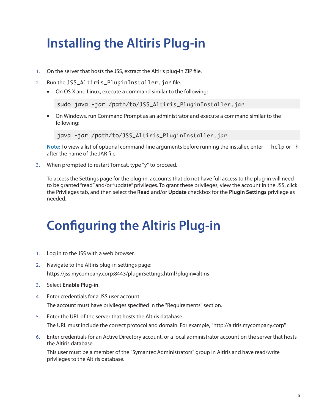# **Installing the Altiris Plug-in**

- 1. On the server that hosts the JSS, extract the Altiris plug-in ZIP file.
- 2. Run the JSS\_Altiris\_PluginInstaller.jar file.
	- On OS X and Linux, execute a command similar to the following:

sudo java -jar /path/to/JSS\_Altiris\_PluginInstaller.jar

 On Windows, run Command Prompt as an administrator and execute a command similar to the following:

java -jar /path/to/JSS\_Altiris\_PluginInstaller.jar

**Note:** To view a list of optional command-line arguments before running the installer, enter --help or -h after the name of the JAR file.

3. When prompted to restart Tomcat, type "y" to proceed.

To access the Settings page for the plug-in, accounts that do not have full access to the plug-in will need to be granted "read" and/or "update" privileges. To grant these privileges, view the account in the JSS, click the Privileges tab, and then select the **Read** and/or **Update** checkbox for the **Plugin Settings** privilege as needed.

### **Configuring the Altiris Plug-in**

- 1. Log in to the JSS with a web browser.
- 2. Navigate to the Altiris plug-in settings page: https://jss.mycompany.corp:8443/pluginSettings.html?plugin=altiris
- 3. Select **Enable Plug-in**.
- 4. Enter credentials for a JSS user account. The account must have privileges specified in the "Requirements" section.
- 5. Enter the URL of the server that hosts the Altiris database. The URL must include the correct protocol and domain. For example, "http://altiris.mycompany.corp".
- 6. Enter credentials for an Active Directory account, or a local administrator account on the server that hosts the Altiris database.

This user must be a member of the "Symantec Administrators" group in Altiris and have read/write privileges to the Altiris database.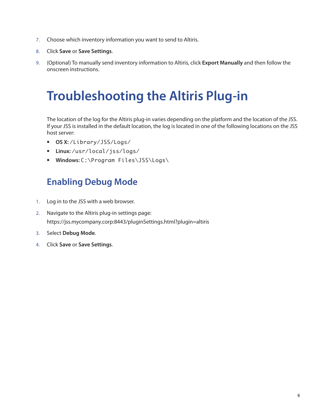- 7. Choose which inventory information you want to send to Altiris.
- 8. Click **Save** or **Save Settings**.
- 9. (Optional) To manually send inventory information to Altiris, click **Export Manually** and then follow the onscreen instructions.

### **Troubleshooting the Altiris Plug-in**

The location of the log for the Altiris plug-in varies depending on the platform and the location of the JSS. If your JSS is installed in the default location, the log is located in one of the following locations on the JSS host server:

- **OS X:** /Library/JSS/Logs/
- **Linux:** /usr/local/jss/logs/
- **Windows:** C:\Program Files\JSS\Logs\

#### **Enabling Debug Mode**

- 1. Log in to the JSS with a web browser.
- 2. Navigate to the Altiris plug-in settings page: https://jss.mycompany.corp:8443/pluginSettings.html?plugin=altiris
- 3. Select **Debug Mode**.
- 4. Click **Save** or **Save Settings**.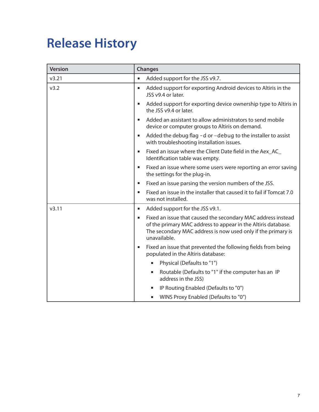## **Release History**

| <b>Version</b> | <b>Changes</b>                                                                                                                                                                                                     |
|----------------|--------------------------------------------------------------------------------------------------------------------------------------------------------------------------------------------------------------------|
| v3.21          | Added support for the JSS v9.7.<br>$\blacksquare$                                                                                                                                                                  |
| v3.2           | Added support for exporting Android devices to Altiris in the<br>ш<br>JSS v9.4 or later.                                                                                                                           |
|                | Added support for exporting device ownership type to Altiris in<br>ш<br>the JSS v9.4 or later.                                                                                                                     |
|                | Added an assistant to allow administrators to send mobile<br>$\blacksquare$<br>device or computer groups to Altiris on demand.                                                                                     |
|                | Added the debug flag - d or -debug to the installer to assist<br>ш<br>with troubleshooting installation issues.                                                                                                    |
|                | Fixed an issue where the Client Date field in the Aex_AC_<br>$\blacksquare$<br>Identification table was empty.                                                                                                     |
|                | Fixed an issue where some users were reporting an error saving<br>$\blacksquare$<br>the settings for the plug-in.                                                                                                  |
|                | Fixed an issue parsing the version numbers of the JSS.<br>ш                                                                                                                                                        |
|                | Fixed an issue in the installer that caused it to fail if Tomcat 7.0<br>П<br>was not installed.                                                                                                                    |
| v3.11          | Added support for the JSS v9.1.<br>ш                                                                                                                                                                               |
|                | Fixed an issue that caused the secondary MAC address instead<br>п<br>of the primary MAC address to appear in the Altiris database.<br>The secondary MAC address is now used only if the primary is<br>unavailable. |
|                | Fixed an issue that prevented the following fields from being<br>п<br>populated in the Altiris database:                                                                                                           |
|                | Physical (Defaults to "1")                                                                                                                                                                                         |
|                | Routable (Defaults to "1" if the computer has an IP<br>п<br>address in the JSS)                                                                                                                                    |
|                | IP Routing Enabled (Defaults to "0")<br>п                                                                                                                                                                          |
|                | WINS Proxy Enabled (Defaults to "0")<br>ш                                                                                                                                                                          |